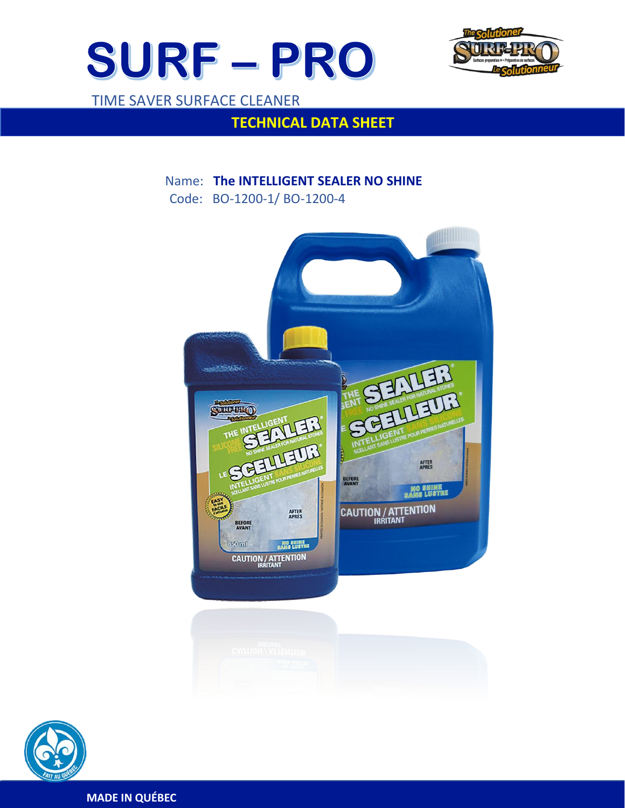



# TIME SAVER SURFACE CLEANER

 $\overline{a}$ 

# **TECHNICAL DATA SHEET**

# Name: **The INTELLIGENT SEALER NO SHINE** Code: BO-1200-1/ BO-1200-4





**MADE IN QUÉBEC**